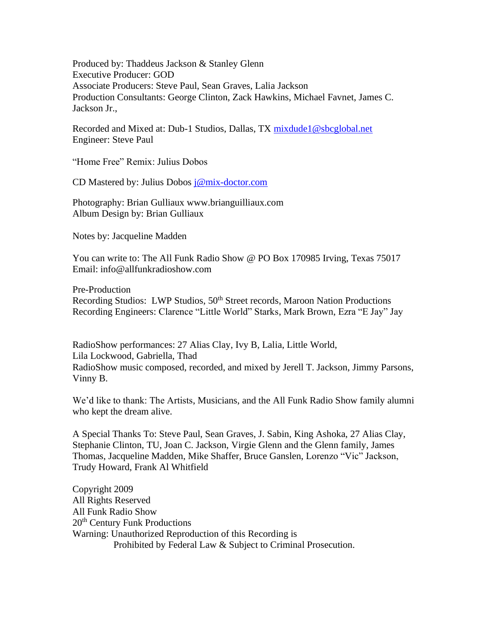Produced by: Thaddeus Jackson & Stanley Glenn Executive Producer: GOD Associate Producers: Steve Paul, Sean Graves, Lalia Jackson Production Consultants: George Clinton, Zack Hawkins, Michael Favnet, James C. Jackson Jr.,

Recorded and Mixed at: Dub-1 Studios, Dallas, TX [mixdude1@sbcglobal.net](mailto:mixdude1@sbcglobal.net) Engineer: Steve Paul

"Home Free" Remix: Julius Dobos

CD Mastered by: Julius Dobos [j@mix-doctor.com](mailto:j@mix-doctor.com)

Photography: Brian Gulliaux www.brianguilliaux.com Album Design by: Brian Gulliaux

Notes by: Jacqueline Madden

You can write to: The All Funk Radio Show @ PO Box 170985 Irving, Texas 75017 Email: info@allfunkradioshow.com

Pre-Production Recording Studios: LWP Studios, 50<sup>th</sup> Street records, Maroon Nation Productions Recording Engineers: Clarence "Little World" Starks, Mark Brown, Ezra "E Jay" Jay

RadioShow performances: 27 Alias Clay, Ivy B, Lalia, Little World, Lila Lockwood, Gabriella, Thad RadioShow music composed, recorded, and mixed by Jerell T. Jackson, Jimmy Parsons, Vinny B.

We'd like to thank: The Artists, Musicians, and the All Funk Radio Show family alumni who kept the dream alive.

A Special Thanks To: Steve Paul, Sean Graves, J. Sabin, King Ashoka, 27 Alias Clay, Stephanie Clinton, TU, Joan C. Jackson, Virgie Glenn and the Glenn family, James Thomas, Jacqueline Madden, Mike Shaffer, Bruce Ganslen, Lorenzo "Vic" Jackson, Trudy Howard, Frank Al Whitfield

Copyright 2009 All Rights Reserved All Funk Radio Show 20<sup>th</sup> Century Funk Productions Warning: Unauthorized Reproduction of this Recording is Prohibited by Federal Law & Subject to Criminal Prosecution.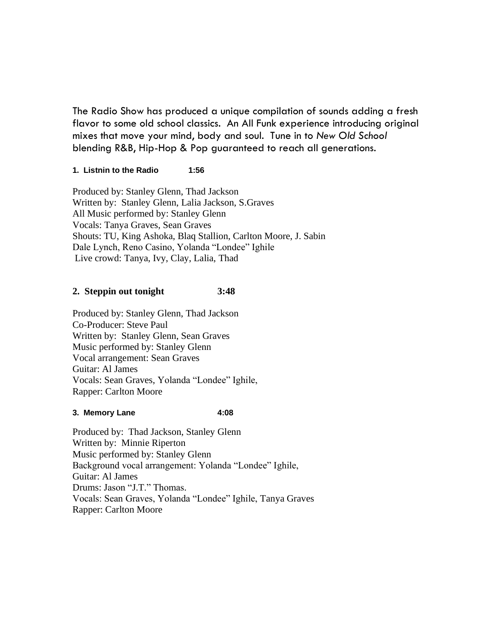The Radio Show has produced a unique compilation of sounds adding a fresh flavor to some old school classics. An All Funk experience introducing original mixes that move your mind, body and soul. Tune in to *New Old School* blending R&B, Hip-Hop & Pop guaranteed to reach all generations.

## **1. Listnin to the Radio 1:56**

Produced by: Stanley Glenn, Thad Jackson Written by: Stanley Glenn, Lalia Jackson, S.Graves All Music performed by: Stanley Glenn Vocals: Tanya Graves, Sean Graves Shouts: TU, King Ashoka, Blaq Stallion, Carlton Moore, J. Sabin Dale Lynch, Reno Casino, Yolanda "Londee" Ighile Live crowd: Tanya, Ivy, Clay, Lalia, Thad

# **2. Steppin out tonight 3:48**

Produced by: Stanley Glenn, Thad Jackson Co-Producer: Steve Paul Written by: Stanley Glenn, Sean Graves Music performed by: Stanley Glenn Vocal arrangement: Sean Graves Guitar: Al James Vocals: Sean Graves, Yolanda "Londee" Ighile, Rapper: Carlton Moore

## **3. Memory Lane 4:08**

Produced by: Thad Jackson, Stanley Glenn Written by: Minnie Riperton Music performed by: Stanley Glenn Background vocal arrangement: Yolanda "Londee" Ighile, Guitar: Al James Drums: Jason "J.T." Thomas. Vocals: Sean Graves, Yolanda "Londee" Ighile, Tanya Graves Rapper: Carlton Moore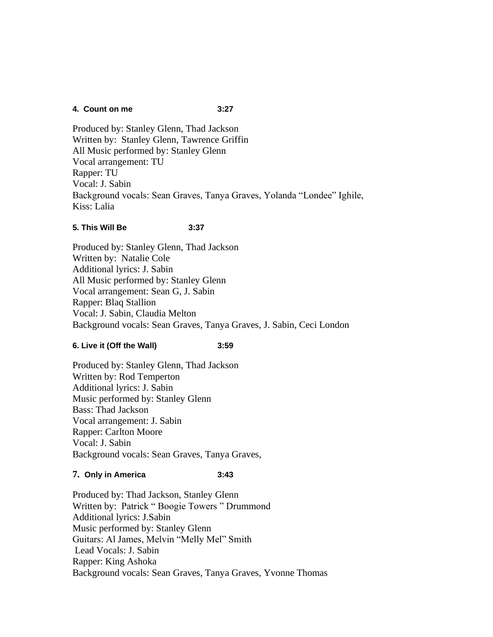### **4. Count on me 3:27**

Produced by: Stanley Glenn, Thad Jackson Written by: Stanley Glenn, Tawrence Griffin All Music performed by: Stanley Glenn Vocal arrangement: TU Rapper: TU Vocal: J. Sabin Background vocals: Sean Graves, Tanya Graves, Yolanda "Londee" Ighile, Kiss: Lalia

## **5. This Will Be 3:37**

Produced by: Stanley Glenn, Thad Jackson Written by: Natalie Cole Additional lyrics: J. Sabin All Music performed by: Stanley Glenn Vocal arrangement: Sean G, J. Sabin Rapper: Blaq Stallion Vocal: J. Sabin, Claudia Melton Background vocals: Sean Graves, Tanya Graves, J. Sabin, Ceci London

# **6. Live it (Off the Wall) 3:59**

Produced by: Stanley Glenn, Thad Jackson Written by: Rod Temperton Additional lyrics: J. Sabin Music performed by: Stanley Glenn Bass: Thad Jackson Vocal arrangement: J. Sabin Rapper: Carlton Moore Vocal: J. Sabin Background vocals: Sean Graves, Tanya Graves,

## **7. Only in America 3:43**

Produced by: Thad Jackson, Stanley Glenn Written by: Patrick " Boogie Towers " Drummond Additional lyrics: J.Sabin Music performed by: Stanley Glenn Guitars: Al James, Melvin "Melly Mel" Smith Lead Vocals: J. Sabin Rapper: King Ashoka Background vocals: Sean Graves, Tanya Graves, Yvonne Thomas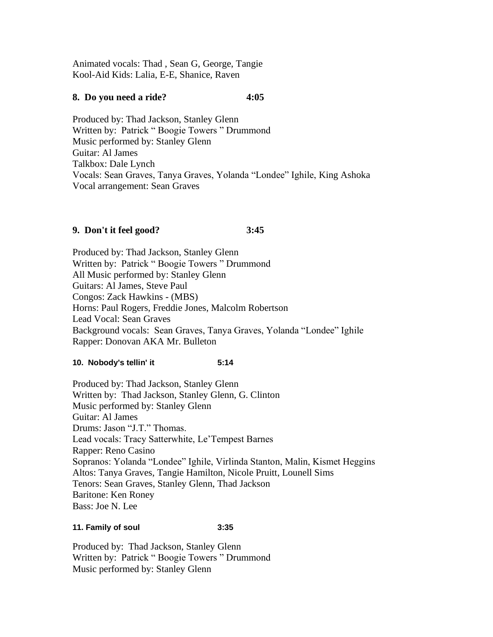Animated vocals: Thad , Sean G, George, Tangie Kool-Aid Kids: Lalia, E-E, Shanice, Raven

# **8. Do you need a ride? 4:05**

Produced by: Thad Jackson, Stanley Glenn Written by: Patrick " Boogie Towers " Drummond Music performed by: Stanley Glenn Guitar: Al James Talkbox: Dale Lynch Vocals: Sean Graves, Tanya Graves, Yolanda "Londee" Ighile, King Ashoka Vocal arrangement: Sean Graves

# **9. Don't it feel good? 3:45**

Produced by: Thad Jackson, Stanley Glenn Written by: Patrick " Boogie Towers " Drummond All Music performed by: Stanley Glenn Guitars: Al James, Steve Paul Congos: Zack Hawkins - (MBS) Horns: Paul Rogers, Freddie Jones, Malcolm Robertson Lead Vocal: Sean Graves Background vocals: Sean Graves, Tanya Graves, Yolanda "Londee" Ighile Rapper: Donovan AKA Mr. Bulleton

## **10. Nobody's tellin' it 5:14**

Produced by: Thad Jackson, Stanley Glenn Written by: Thad Jackson, Stanley Glenn, G. Clinton Music performed by: Stanley Glenn Guitar: Al James Drums: Jason "J.T." Thomas. Lead vocals: Tracy Satterwhite, Le'Tempest Barnes Rapper: Reno Casino Sopranos: Yolanda "Londee" Ighile, Virlinda Stanton, Malin, Kismet Heggins Altos: Tanya Graves, Tangie Hamilton, Nicole Pruitt, Lounell Sims Tenors: Sean Graves, Stanley Glenn, Thad Jackson Baritone: Ken Roney Bass: Joe N. Lee

#### **11. Family of soul 3:35**

Produced by: Thad Jackson, Stanley Glenn Written by: Patrick " Boogie Towers " Drummond Music performed by: Stanley Glenn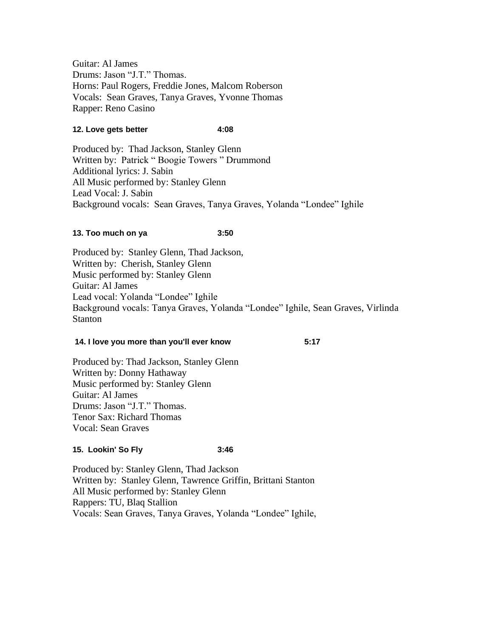Guitar: Al James Drums: Jason "J.T." Thomas. Horns: Paul Rogers, Freddie Jones, Malcom Roberson Vocals: Sean Graves, Tanya Graves, Yvonne Thomas Rapper: Reno Casino

## **12. Love gets better 4:08**

Produced by: Thad Jackson, Stanley Glenn Written by: Patrick " Boogie Towers " Drummond Additional lyrics: J. Sabin All Music performed by: Stanley Glenn Lead Vocal: J. Sabin Background vocals: Sean Graves, Tanya Graves, Yolanda "Londee" Ighile

### **13. Too much on ya 3:50**

Produced by: Stanley Glenn, Thad Jackson, Written by: Cherish, Stanley Glenn Music performed by: Stanley Glenn Guitar: Al James Lead vocal: Yolanda "Londee" Ighile Background vocals: Tanya Graves, Yolanda "Londee" Ighile, Sean Graves, Virlinda Stanton

#### **14. I love you more than you'll ever know 5:17**

Produced by: Thad Jackson, Stanley Glenn Written by: Donny Hathaway Music performed by: Stanley Glenn Guitar: Al James Drums: Jason "J.T." Thomas. Tenor Sax: Richard Thomas Vocal: Sean Graves

## **15. Lookin' So Fly 3:46**

Produced by: Stanley Glenn, Thad Jackson Written by: Stanley Glenn, Tawrence Griffin, Brittani Stanton All Music performed by: Stanley Glenn Rappers: TU, Blaq Stallion Vocals: Sean Graves, Tanya Graves, Yolanda "Londee" Ighile,